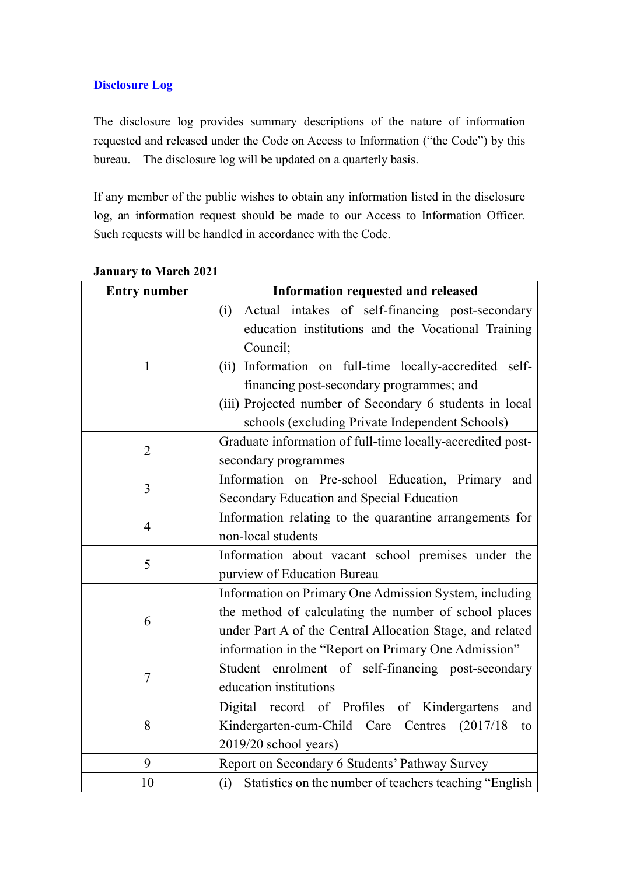## **Disclosure Log**

The disclosure log provides summary descriptions of the nature of information requested and released under the Code on Access to Information ("the Code") by this bureau. The disclosure log will be updated on a quarterly basis.

If any member of the public wishes to obtain any information listed in the disclosure log, an information request should be made to our Access to Information Officer. Such requests will be handled in accordance with the Code.

| <b>Entry number</b> | Information requested and released                             |
|---------------------|----------------------------------------------------------------|
|                     | Actual intakes of self-financing post-secondary<br>(i)         |
|                     | education institutions and the Vocational Training             |
|                     | Council;                                                       |
| $\mathbf{1}$        | (ii) Information on full-time locally-accredited self-         |
|                     | financing post-secondary programmes; and                       |
|                     | (iii) Projected number of Secondary 6 students in local        |
|                     | schools (excluding Private Independent Schools)                |
| $\overline{2}$      | Graduate information of full-time locally-accredited post-     |
|                     | secondary programmes                                           |
| $\overline{3}$      | Information on Pre-school Education, Primary and               |
|                     | Secondary Education and Special Education                      |
| $\overline{4}$      | Information relating to the quarantine arrangements for        |
|                     | non-local students                                             |
| 5                   | Information about vacant school premises under the             |
|                     | purview of Education Bureau                                    |
|                     | Information on Primary One Admission System, including         |
| 6                   | the method of calculating the number of school places          |
|                     | under Part A of the Central Allocation Stage, and related      |
|                     | information in the "Report on Primary One Admission"           |
| 7                   | Student enrolment of self-financing post-secondary             |
|                     | education institutions                                         |
| 8                   | record of Profiles of Kindergartens<br>Digital<br>and          |
|                     | Kindergarten-cum-Child Care Centres (2017/18)<br>to            |
|                     | 2019/20 school years)                                          |
| 9                   | Report on Secondary 6 Students' Pathway Survey                 |
| 10                  | Statistics on the number of teachers teaching "English"<br>(i) |

**January to March 2021**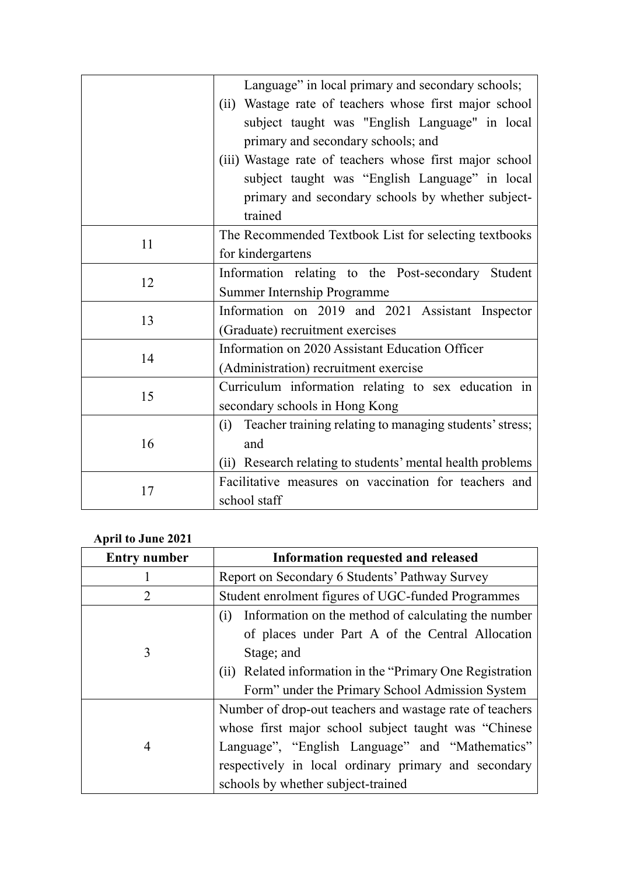|    | Language" in local primary and secondary schools;              |
|----|----------------------------------------------------------------|
|    | (ii) Wastage rate of teachers whose first major school         |
|    | subject taught was "English Language" in local                 |
|    | primary and secondary schools; and                             |
|    | (iii) Wastage rate of teachers whose first major school        |
|    | subject taught was "English Language" in local                 |
|    | primary and secondary schools by whether subject-              |
|    | trained                                                        |
| 11 | The Recommended Textbook List for selecting textbooks          |
|    | for kindergartens                                              |
| 12 | Information relating to the Post-secondary Student             |
|    | Summer Internship Programme                                    |
|    | Information on 2019 and 2021 Assistant Inspector               |
| 13 | (Graduate) recruitment exercises                               |
| 14 | Information on 2020 Assistant Education Officer                |
|    | (Administration) recruitment exercise                          |
| 15 | Curriculum information relating to sex education in            |
|    | secondary schools in Hong Kong                                 |
| 16 | Teacher training relating to managing students' stress;<br>(i) |
|    | and                                                            |
|    | (ii) Research relating to students' mental health problems     |
| 17 | Facilitative measures on vaccination for teachers and          |
|    | school staff                                                   |

## **April to June 2021**

| <b>Entry number</b> | Information requested and released                         |
|---------------------|------------------------------------------------------------|
|                     | Report on Secondary 6 Students' Pathway Survey             |
| $\overline{2}$      | Student enrolment figures of UGC-funded Programmes         |
|                     | Information on the method of calculating the number<br>(i) |
|                     | of places under Part A of the Central Allocation           |
| 3                   | Stage; and                                                 |
|                     | (ii) Related information in the "Primary One Registration  |
|                     | Form" under the Primary School Admission System            |
|                     | Number of drop-out teachers and wastage rate of teachers   |
|                     | whose first major school subject taught was "Chinese"      |
| 4                   | Language", "English Language" and "Mathematics"            |
|                     | respectively in local ordinary primary and secondary       |
|                     | schools by whether subject-trained                         |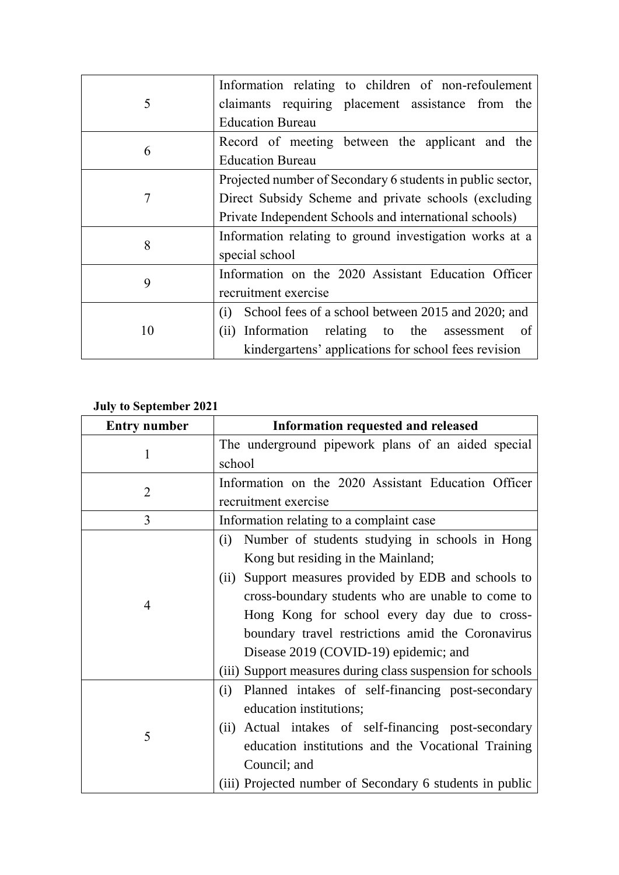| 5  | Information relating to children of non-refoulement        |
|----|------------------------------------------------------------|
|    | claimants requiring placement assistance from the          |
|    | <b>Education Bureau</b>                                    |
| 6  | Record of meeting between the applicant and the            |
|    | <b>Education Bureau</b>                                    |
| 7  | Projected number of Secondary 6 students in public sector, |
|    | Direct Subsidy Scheme and private schools (excluding       |
|    | Private Independent Schools and international schools)     |
| 8  | Information relating to ground investigation works at a    |
|    | special school                                             |
| 9  | Information on the 2020 Assistant Education Officer        |
|    | recruitment exercise                                       |
| 10 | School fees of a school between 2015 and 2020; and<br>(i)  |
|    | (ii) Information relating to the assessment<br>- of        |
|    | kindergartens' applications for school fees revision       |

## **July to September 2021**

| <b>Entry number</b> | Information requested and released                         |
|---------------------|------------------------------------------------------------|
| 1                   | The underground pipework plans of an aided special         |
|                     | school                                                     |
| $\overline{2}$      | Information on the 2020 Assistant Education Officer        |
|                     | recruitment exercise                                       |
| 3                   | Information relating to a complaint case                   |
| $\overline{4}$      | Number of students studying in schools in Hong<br>(i)      |
|                     | Kong but residing in the Mainland;                         |
|                     | Support measures provided by EDB and schools to<br>(ii)    |
|                     | cross-boundary students who are unable to come to          |
|                     | Hong Kong for school every day due to cross-               |
|                     | boundary travel restrictions amid the Coronavirus          |
|                     | Disease 2019 (COVID-19) epidemic; and                      |
|                     | (iii) Support measures during class suspension for schools |
| 5                   | Planned intakes of self-financing post-secondary<br>(i)    |
|                     | education institutions;                                    |
|                     | Actual intakes of self-financing post-secondary<br>(ii)    |
|                     | education institutions and the Vocational Training         |
|                     | Council; and                                               |
|                     | (iii) Projected number of Secondary 6 students in public   |